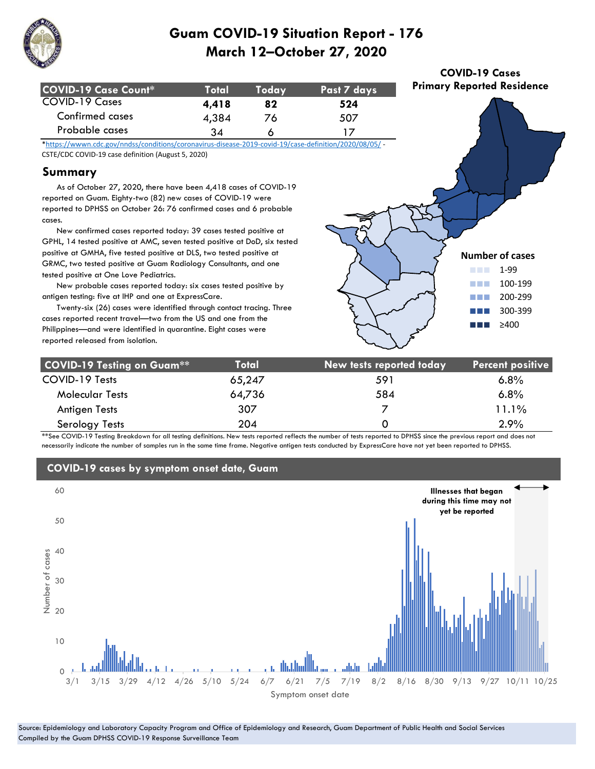

| COVID-19 Case Count* | <b>Total</b> | Todav | Past 7 days |
|----------------------|--------------|-------|-------------|
| COVID-19 Cases       | 4.418        | 82    | 524         |
| Confirmed cases      | 4,384        | 76    | 507         |
| Probable cases       | 34           |       |             |

\*https://wwwn.cdc.gov/nndss/conditions/coronavirus-disease-2019-covid-19/case-definition/2020/08/05/ - CSTE/CDC COVID-19 case definition (August 5, 2020)

### **Summary**

 As of October 27, 2020, there have been 4,418 cases of COVID-19 reported on Guam. Eighty-two (82) new cases of COVID-19 were reported to DPHSS on October 26: 76 confirmed cases and 6 probable cases.

 New confirmed cases reported today: 39 cases tested positive at GPHL, 14 tested positive at AMC, seven tested positive at DoD, six tested positive at GMHA, five tested positive at DLS, two tested positive at GRMC, two tested positive at Guam Radiology Consultants, and one tested positive at One Love Pediatrics.

 New probable cases reported today: six cases tested positive by antigen testing: five at IHP and one at ExpressCare.

 Twenty-six (26) cases were identified through contact tracing. Three cases reported recent travel—two from the US and one from the Philippines—and were identified in quarantine. Eight cases were reported released from isolation.



**COVID-19 Cases Primary Reported Residence**

| <b>COVID-19 Testing on Guam**</b> | Total  | New tests reported today | <b>Percent positive</b> |
|-----------------------------------|--------|--------------------------|-------------------------|
| COVID-19 Tests                    | 65,247 | 591                      | $6.8\%$                 |
| <b>Molecular Tests</b>            | 64,736 | 584                      | 6.8%                    |
| Antigen Tests                     | 307    |                          | 11.1%                   |
| Serology Tests                    | 204    |                          | 2.9%                    |

\*\*See COVID-19 Testing Breakdown for all testing definitions. New tests reported reflects the number of tests reported to DPHSS since the previous report and does not necessarily indicate the number of samples run in the same time frame. Negative antigen tests conducted by ExpressCare have not yet been reported to DPHSS.



#### Source: Epidemiology and Laboratory Capacity Program and Office of Epidemiology and Research, Guam Department of Public Health and Social Services Compiled by the Guam DPHSS COVID-19 Response Surveillance Team

### **COVID-19 cases by symptom onset date, Guam**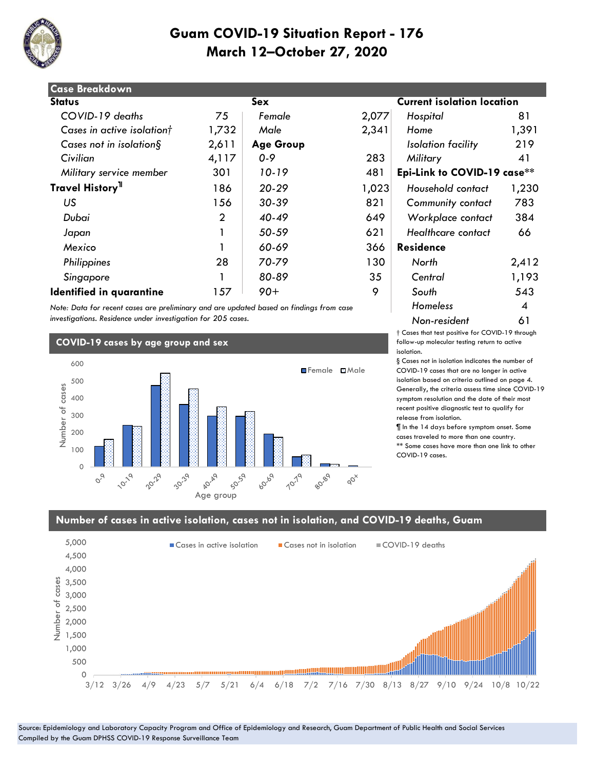

| <b>Case Breakdown</b>        |                |                  |       |                                   |       |
|------------------------------|----------------|------------------|-------|-----------------------------------|-------|
| <b>Status</b>                |                | Sex              |       | <b>Current isolation location</b> |       |
| COVID-19 deaths              | 75             | Female           | 2,077 | Hospital                          | 81    |
| Cases in active isolationt   | 1,732          | Male             | 2,341 | Home                              | 1,391 |
| Cases not in isolation $\S$  | 2,611          | <b>Age Group</b> |       | Isolation facility                | 219   |
| Civilian                     | 4,117          | $0 - 9$          | 283   | Military                          | 41    |
| Military service member      | 301            | 10-19            | 481   | Epi-Link to COVID-19 case**       |       |
| Travel History <sup>11</sup> | 186            | $20 - 29$        | 1,023 | Household contact                 | 1,230 |
| US                           | 156            | 30-39            | 821   | <b>Community contact</b>          | 783   |
| Dubai                        | $\overline{2}$ | $40 - 49$        | 649   | Workplace contact                 | 384   |
| Japan                        |                | 50-59            | 621   | Healthcare contact                | 66    |
| Mexico                       |                | 60-69            | 366   | <b>Residence</b>                  |       |
| Philippines                  | 28             | 70-79            | 130   | North                             | 2,412 |
| Singapore                    |                | 80-89            | 35    | Central                           | 1,193 |
| Identified in quarantine     | 157            | $90+$            | 9     | South                             | 543   |

*Note: Data for recent cases are preliminary and are updated based on findings from case investigations. Residence under investigation for 205 cases.*

### **COVID-19 cases by age group and sex**



# **Status Sex Current isolation location**  *Military service member* 301 *10-19* 481 **Epi-Link to COVID-19 case\*\*** 186 *20-29* 1,023 *Household contact* 1,230 munity contact 783  *Dubai* 2 *40-49* 649 *Workplace contact* 384  *Japan* 1 *50-59* 621 *Healthcare contact* 66 *Homeless* 4 *Non-resident* 61

† Cases that test positive for COVID-19 through follow-up molecular testing return to active isolation.

§ Cases not in isolation indicates the number of COVID-19 cases that are no longer in active isolation based on criteria outlined on page 4. Generally, the criteria assess time since COVID-19 symptom resolution and the date of their most recent positive diagnostic test to qualify for release from isolation.

¶ In the 14 days before symptom onset. Some cases traveled to more than one country. \*\* Some cases have more than one link to other COVID-19 cases.

### **Number of cases in active isolation, cases not in isolation, and COVID-19 deaths, Guam**

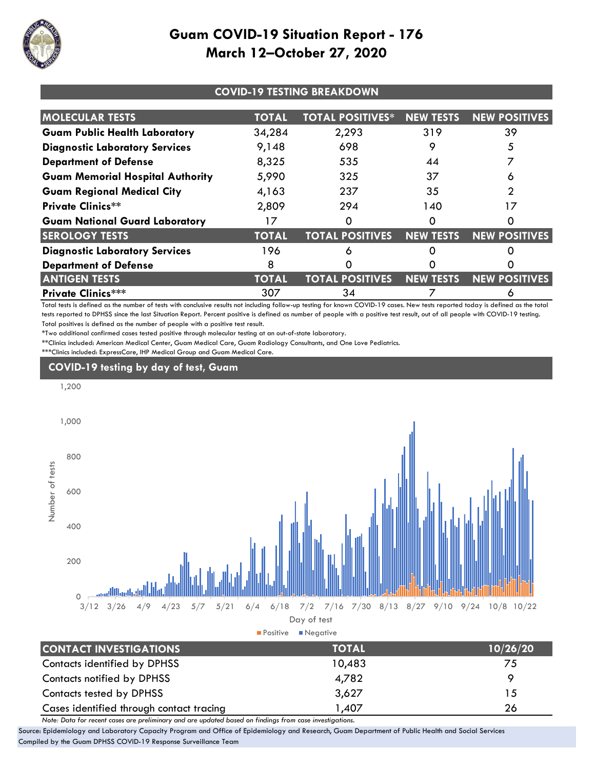

| <b>COVID-19 TESTING BREAKDOWN</b>       |              |                         |                  |                      |
|-----------------------------------------|--------------|-------------------------|------------------|----------------------|
| <b>MOLECULAR TESTS</b>                  | <b>TOTAL</b> | <b>TOTAL POSITIVES*</b> | <b>NEW TESTS</b> | <b>NEW POSITIVES</b> |
| <b>Guam Public Health Laboratory</b>    | 34,284       | 2,293                   | 319              | 39                   |
| <b>Diagnostic Laboratory Services</b>   | 9,148        | 698                     | 9                | 5                    |
| <b>Department of Defense</b>            | 8,325        | 535                     | 44               |                      |
| <b>Guam Memorial Hospital Authority</b> | 5,990        | 325                     | 37               | 6                    |
| <b>Guam Regional Medical City</b>       | 4,163        | 237                     | 35               | っ                    |
| <b>Private Clinics**</b>                | 2,809        | 294                     | 140              | 17                   |
| <b>Guam National Guard Laboratory</b>   |              | 0                       |                  |                      |
| <b>SEROLOGY TESTS</b>                   | <b>TOTAL</b> | <b>TOTAL POSITIVES</b>  | <b>NEW TESTS</b> | <b>NEW POSITIVES</b> |
| <b>Diagnostic Laboratory Services</b>   | 196          | 6                       |                  |                      |
| <b>Department of Defense</b>            | 8            | 0                       |                  |                      |
| <b>ANTIGEN TESTS</b>                    | <b>TOTAL</b> | <b>TOTAL POSITIVES</b>  | <b>NEW TESTS</b> | <b>NEW POSITIVES</b> |
| <b>Private Clinics***</b>               | 307          | 34                      |                  | O                    |

Total tests is defined as the number of tests with conclusive results not including follow-up testing for known COVID-19 cases. New tests reported today is defined as the total tests reported to DPHSS since the last Situation Report. Percent positive is defined as number of people with a positive test result, out of all people with COVID-19 testing. Total positives is defined as the number of people with a positive test result.

\*Two additional confirmed cases tested positive through molecular testing at an out-of-state laboratory.

\*\*Clinics included: American Medical Center, Guam Medical Care, Guam Radiology Consultants, and One Love Pediatrics.

\*\*\*Clinics included: ExpressCare, IHP Medical Group and Guam Medical Care.

## **COVID-19 testing by day of test, Guam**



| CONTACT INVESTIGATIONS                   | TOTAL  | 10/26/20 |
|------------------------------------------|--------|----------|
| Contacts identified by DPHSS             | 10,483 | 75       |
| Contacts notified by DPHSS               | 4,782  |          |
| Contacts tested by DPHSS                 | 3,627  | 15       |
| Cases identified through contact tracing | 407,   | 26       |

*Note: Data for recent cases are preliminary and are updated based on findings from case investigations.*

Source: Epidemiology and Laboratory Capacity Program and Office of Epidemiology and Research, Guam Department of Public Health and Social Services Compiled by the Guam DPHSS COVID-19 Response Surveillance Team